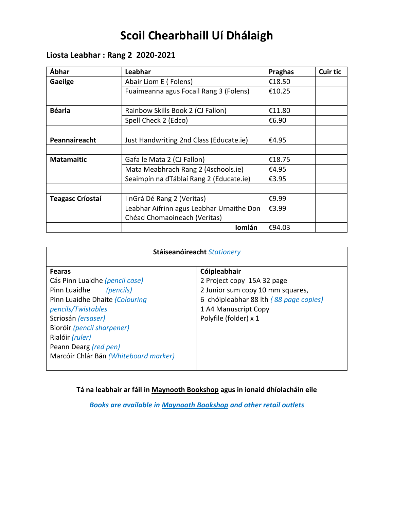# **Scoil Chearbhaill Uí Dhálaigh**

## **Liosta Leabhar : Rang 2 2020-2021**

| Ábhar                   | Leabhar                                   | <b>Praghas</b> | <b>Cuir tic</b> |
|-------------------------|-------------------------------------------|----------------|-----------------|
| Gaeilge                 | Abair Liom E (Folens)                     | €18.50         |                 |
|                         | Fuaimeanna agus Focail Rang 3 (Folens)    | €10.25         |                 |
|                         |                                           |                |                 |
| <b>Béarla</b>           | Rainbow Skills Book 2 (CJ Fallon)         | €11.80         |                 |
|                         | Spell Check 2 (Edco)                      | €6.90          |                 |
|                         |                                           |                |                 |
| Peannaireacht           | Just Handwriting 2nd Class (Educate.ie)   | €4.95          |                 |
|                         |                                           |                |                 |
| <b>Matamaitic</b>       | Gafa le Mata 2 (CJ Fallon)                | €18.75         |                 |
|                         | Mata Meabhrach Rang 2 (4schools.ie)       | €4.95          |                 |
|                         | Seaimpín na dTáblaí Rang 2 (Educate.ie)   | €3.95          |                 |
|                         |                                           |                |                 |
| <b>Teagasc Críostaí</b> | InGrá Dé Rang 2 (Veritas)                 | €9.99          |                 |
|                         | Leabhar Aifrinn agus Leabhar Urnaithe Don | €3.99          |                 |
|                         | Chéad Chomaoineach (Veritas)              |                |                 |
|                         | Iomlán                                    | €94.03         |                 |

| Stáiseanóireacht Stationery                                                                                                                                                                                                                                                   |                                                                                                                                                                           |  |
|-------------------------------------------------------------------------------------------------------------------------------------------------------------------------------------------------------------------------------------------------------------------------------|---------------------------------------------------------------------------------------------------------------------------------------------------------------------------|--|
| <b>Fearas</b><br>Cás Pinn Luaidhe (pencil case)<br>Pinn Luaidhe<br>(pencils)<br>Pinn Luaidhe Dhaite (Colouring<br>pencils/Twistables<br>Scriosán (ersaser)<br>Bioróir (pencil sharpener)<br>Rialóir (ruler)<br>Peann Dearg (red pen)<br>Marcóir Chlár Bán (Whiteboard marker) | Cóipleabhair<br>2 Project copy 15A 32 page<br>2 Junior sum copy 10 mm squares,<br>6 chóipleabhar 88 lth (88 page copies)<br>1 A4 Manuscript Copy<br>Polyfile (folder) x 1 |  |
|                                                                                                                                                                                                                                                                               |                                                                                                                                                                           |  |

**Tá na leabhair ar fáil in Maynooth Bookshop agus in ionaid dhíolacháin eile**

*Books are available in Maynooth Bookshop and other retail outlets*